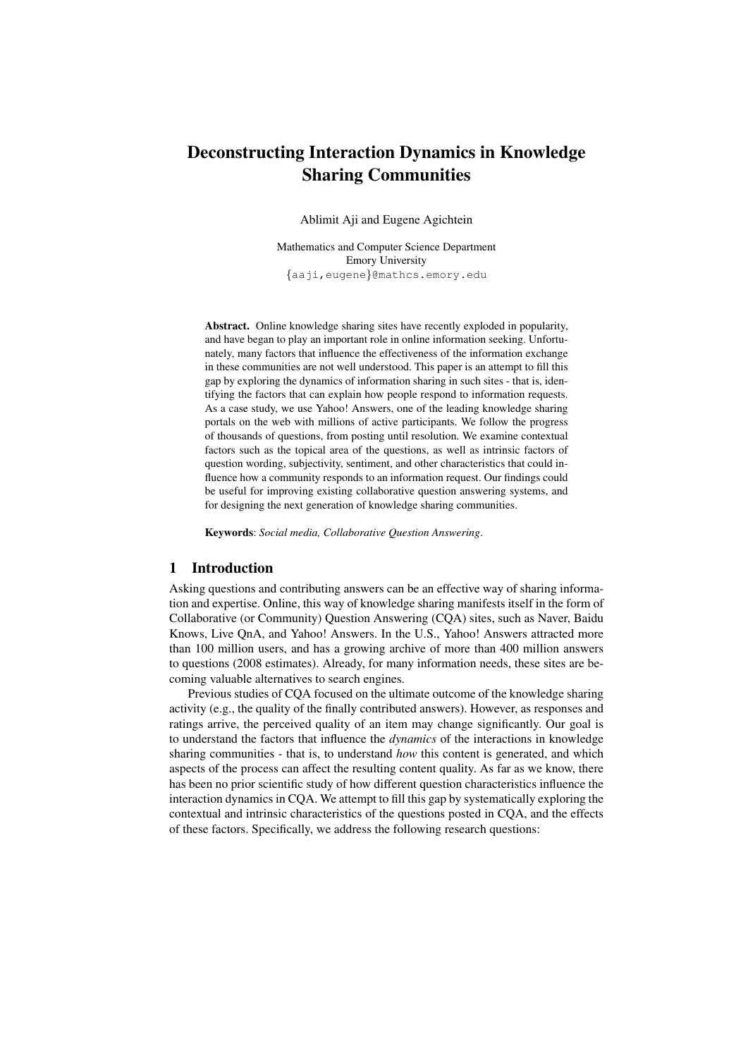# Deconstructing Interaction Dynamics in Knowledge Sharing Communities

Ablimit Aji and Eugene Agichtein

Mathematics and Computer Science Department Emory University *{*aaji,eugene*}*@mathcs.emory.edu

Abstract. Online knowledge sharing sites have recently exploded in popularity, and have began to play an important role in online information seeking. Unfortunately, many factors that influence the effectiveness of the information exchange in these communities are not well understood. This paper is an attempt to fill this gap by exploring the dynamics of information sharing in such sites - that is, identifying the factors that can explain how people respond to information requests. As a case study, we use Yahoo! Answers, one of the leading knowledge sharing portals on the web with millions of active participants. We follow the progress of thousands of questions, from posting until resolution. We examine contextual factors such as the topical area of the questions, as well as intrinsic factors of question wording, subjectivity, sentiment, and other characteristics that could influence how a community responds to an information request. Our findings could be useful for improving existing collaborative question answering systems, and for designing the next generation of knowledge sharing communities.

Keywords: *Social media, Collaborative Question Answering*.

## 1 Introduction

Asking questions and contributing answers can be an effective way of sharing information and expertise. Online, this way of knowledge sharing manifests itself in the form of Collaborative (or Community) Question Answering (CQA) sites, such as Naver, Baidu Knows, Live QnA, and Yahoo! Answers. In the U.S., Yahoo! Answers attracted more than 100 million users, and has a growing archive of more than 400 million answers to questions (2008 estimates). Already, for many information needs, these sites are becoming valuable alternatives to search engines.

Previous studies of CQA focused on the ultimate outcome of the knowledge sharing activity (e.g., the quality of the finally contributed answers). However, as responses and ratings arrive, the perceived quality of an item may change significantly. Our goal is to understand the factors that influence the *dynamics* of the interactions in knowledge sharing communities - that is, to understand *how* this content is generated, and which aspects of the process can affect the resulting content quality. As far as we know, there has been no prior scientific study of how different question characteristics influence the interaction dynamics in CQA. We attempt to fill this gap by systematically exploring the contextual and intrinsic characteristics of the questions posted in CQA, and the effects of these factors. Specifically, we address the following research questions: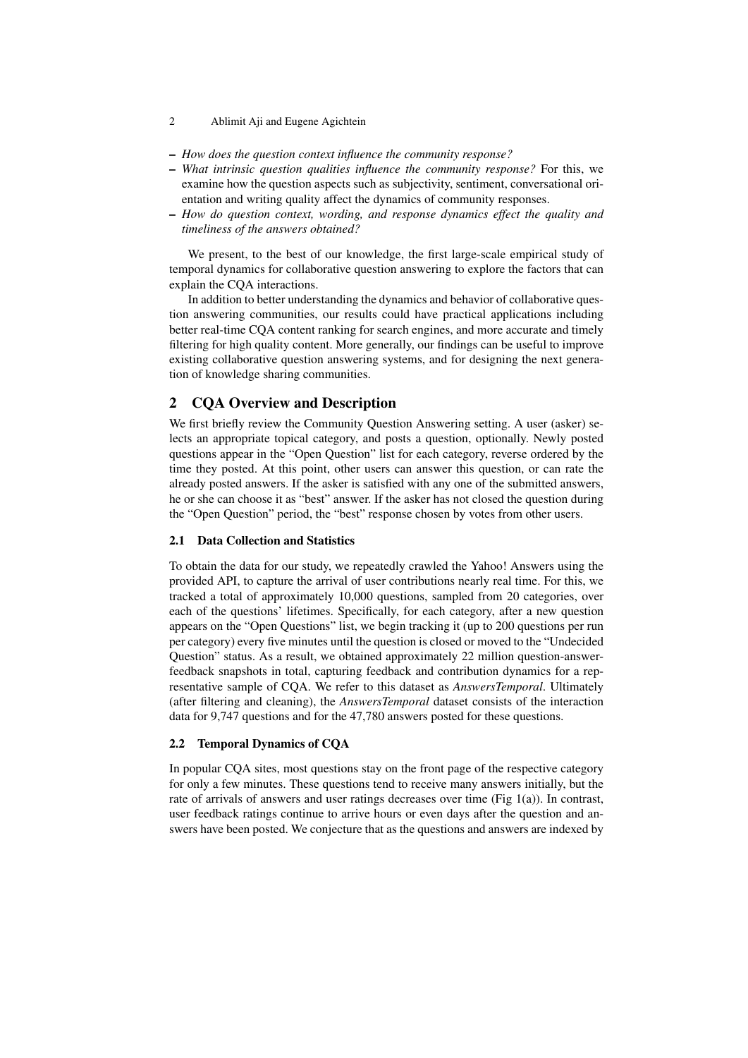- 2 Ablimit Aji and Eugene Agichtein
- *How does the question context influence the community response?*
- *What intrinsic question qualities influence the community response?* For this, we examine how the question aspects such as subjectivity, sentiment, conversational orientation and writing quality affect the dynamics of community responses.
- *How do question context, wording, and response dynamics effect the quality and timeliness of the answers obtained?*

We present, to the best of our knowledge, the first large-scale empirical study of temporal dynamics for collaborative question answering to explore the factors that can explain the CQA interactions.

In addition to better understanding the dynamics and behavior of collaborative question answering communities, our results could have practical applications including better real-time CQA content ranking for search engines, and more accurate and timely filtering for high quality content. More generally, our findings can be useful to improve existing collaborative question answering systems, and for designing the next generation of knowledge sharing communities.

# 2 CQA Overview and Description

We first briefly review the Community Question Answering setting. A user (asker) selects an appropriate topical category, and posts a question, optionally. Newly posted questions appear in the "Open Question" list for each category, reverse ordered by the time they posted. At this point, other users can answer this question, or can rate the already posted answers. If the asker is satisfied with any one of the submitted answers, he or she can choose it as "best" answer. If the asker has not closed the question during the "Open Question" period, the "best" response chosen by votes from other users.

## 2.1 Data Collection and Statistics

To obtain the data for our study, we repeatedly crawled the Yahoo! Answers using the provided API, to capture the arrival of user contributions nearly real time. For this, we tracked a total of approximately 10,000 questions, sampled from 20 categories, over each of the questions' lifetimes. Specifically, for each category, after a new question appears on the "Open Questions" list, we begin tracking it (up to 200 questions per run per category) every five minutes until the question is closed or moved to the "Undecided Question" status. As a result, we obtained approximately 22 million question-answerfeedback snapshots in total, capturing feedback and contribution dynamics for a representative sample of CQA. We refer to this dataset as *AnswersTemporal*. Ultimately (after filtering and cleaning), the *AnswersTemporal* dataset consists of the interaction data for 9,747 questions and for the 47,780 answers posted for these questions.

## 2.2 Temporal Dynamics of CQA

In popular CQA sites, most questions stay on the front page of the respective category for only a few minutes. These questions tend to receive many answers initially, but the rate of arrivals of answers and user ratings decreases over time (Fig 1(a)). In contrast, user feedback ratings continue to arrive hours or even days after the question and answers have been posted. We conjecture that as the questions and answers are indexed by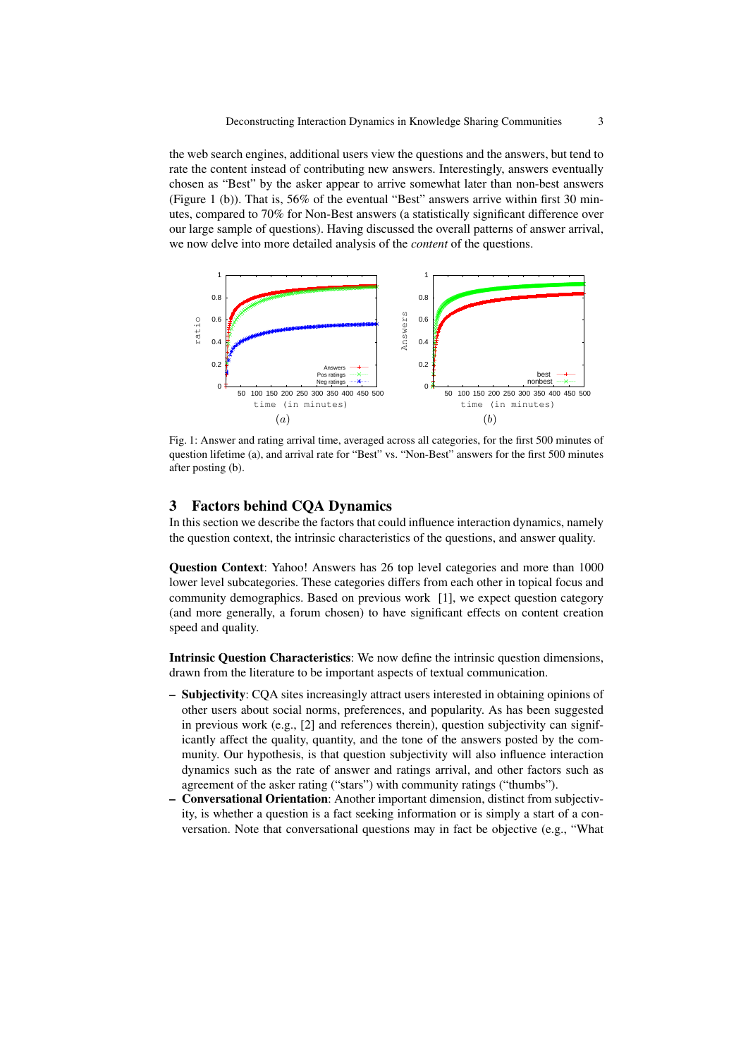the web search engines, additional users view the questions and the answers, but tend to rate the content instead of contributing new answers. Interestingly, answers eventually chosen as "Best" by the asker appear to arrive somewhat later than non-best answers (Figure 1 (b)). That is, 56% of the eventual "Best" answers arrive within first 30 minutes, compared to 70% for Non-Best answers (a statistically significant difference over our large sample of questions). Having discussed the overall patterns of answer arrival, we now delve into more detailed analysis of the *content* of the questions.



Fig. 1: Answer and rating arrival time, averaged across all categories, for the first 500 minutes of question lifetime (a), and arrival rate for "Best" vs. "Non-Best" answers for the first 500 minutes after posting (b).

# 3 Factors behind CQA Dynamics

In this section we describe the factors that could influence interaction dynamics, namely the question context, the intrinsic characteristics of the questions, and answer quality.

Question Context: Yahoo! Answers has 26 top level categories and more than 1000 lower level subcategories. These categories differs from each other in topical focus and community demographics. Based on previous work [1], we expect question category (and more generally, a forum chosen) to have significant effects on content creation speed and quality.

Intrinsic Question Characteristics: We now define the intrinsic question dimensions, drawn from the literature to be important aspects of textual communication.

- Subjectivity: CQA sites increasingly attract users interested in obtaining opinions of other users about social norms, preferences, and popularity. As has been suggested in previous work (e.g., [2] and references therein), question subjectivity can significantly affect the quality, quantity, and the tone of the answers posted by the community. Our hypothesis, is that question subjectivity will also influence interaction dynamics such as the rate of answer and ratings arrival, and other factors such as agreement of the asker rating ("stars") with community ratings ("thumbs").
- Conversational Orientation: Another important dimension, distinct from subjectivity, is whether a question is a fact seeking information or is simply a start of a conversation. Note that conversational questions may in fact be objective (e.g., "What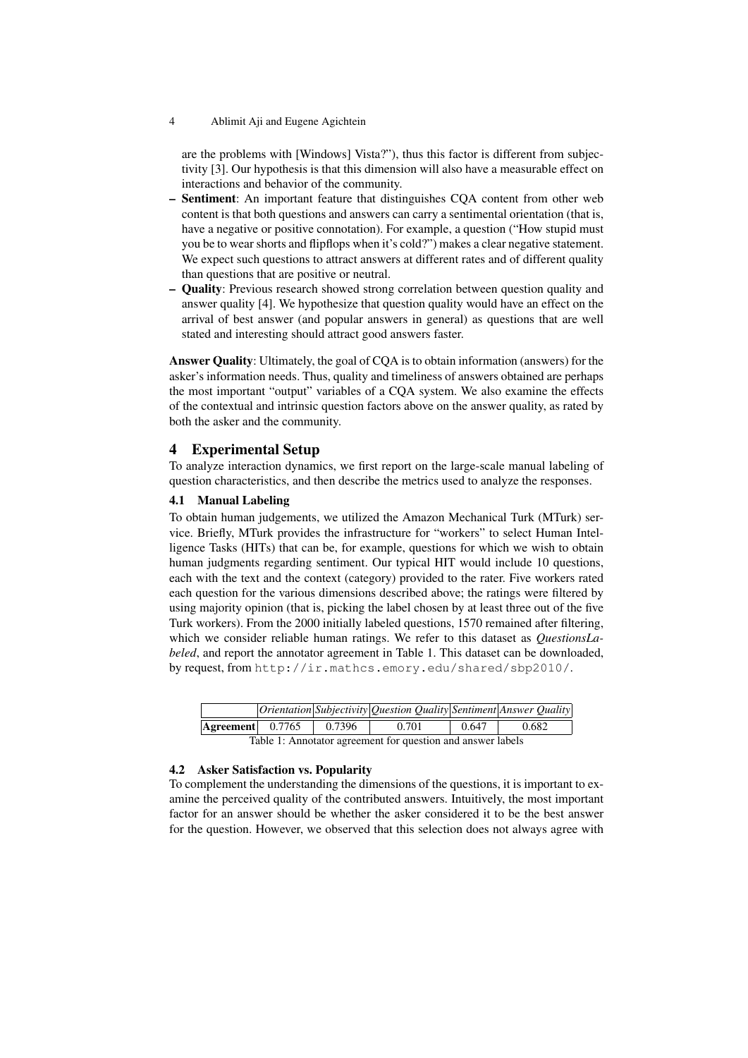#### 4 Ablimit Aji and Eugene Agichtein

are the problems with [Windows] Vista?"), thus this factor is different from subjectivity [3]. Our hypothesis is that this dimension will also have a measurable effect on interactions and behavior of the community.

- Sentiment: An important feature that distinguishes CQA content from other web content is that both questions and answers can carry a sentimental orientation (that is, have a negative or positive connotation). For example, a question ("How stupid must you be to wear shorts and flipflops when it's cold?") makes a clear negative statement. We expect such questions to attract answers at different rates and of different quality than questions that are positive or neutral.
- Quality: Previous research showed strong correlation between question quality and answer quality [4]. We hypothesize that question quality would have an effect on the arrival of best answer (and popular answers in general) as questions that are well stated and interesting should attract good answers faster.

Answer Quality: Ultimately, the goal of CQA is to obtain information (answers) for the asker's information needs. Thus, quality and timeliness of answers obtained are perhaps the most important "output" variables of a CQA system. We also examine the effects of the contextual and intrinsic question factors above on the answer quality, as rated by both the asker and the community.

# 4 Experimental Setup

To analyze interaction dynamics, we first report on the large-scale manual labeling of question characteristics, and then describe the metrics used to analyze the responses.

# 4.1 Manual Labeling

To obtain human judgements, we utilized the Amazon Mechanical Turk (MTurk) service. Briefly, MTurk provides the infrastructure for "workers" to select Human Intelligence Tasks (HITs) that can be, for example, questions for which we wish to obtain human judgments regarding sentiment. Our typical HIT would include 10 questions, each with the text and the context (category) provided to the rater. Five workers rated each question for the various dimensions described above; the ratings were filtered by using majority opinion (that is, picking the label chosen by at least three out of the five Turk workers). From the 2000 initially labeled questions, 1570 remained after filtering, which we consider reliable human ratings. We refer to this dataset as *QuestionsLabeled*, and report the annotator agreement in Table 1. This dataset can be downloaded, by request, from http://ir.mathcs.emory.edu/shared/sbp2010/.

|                                                             |  |        | $ O$ rientation Subjectivity Question Quality Sentiment Answer Quality |       |       |  |  |  |
|-------------------------------------------------------------|--|--------|------------------------------------------------------------------------|-------|-------|--|--|--|
| $\left  \text{Agreement} \right $ 0.7765                    |  | 0.7396 | 0.701                                                                  | 0.647 | 0.682 |  |  |  |
| Table 1: Annotator agreement for question and answer labels |  |        |                                                                        |       |       |  |  |  |

#### 4.2 Asker Satisfaction vs. Popularity

To complement the understanding the dimensions of the questions, it is important to examine the perceived quality of the contributed answers. Intuitively, the most important factor for an answer should be whether the asker considered it to be the best answer for the question. However, we observed that this selection does not always agree with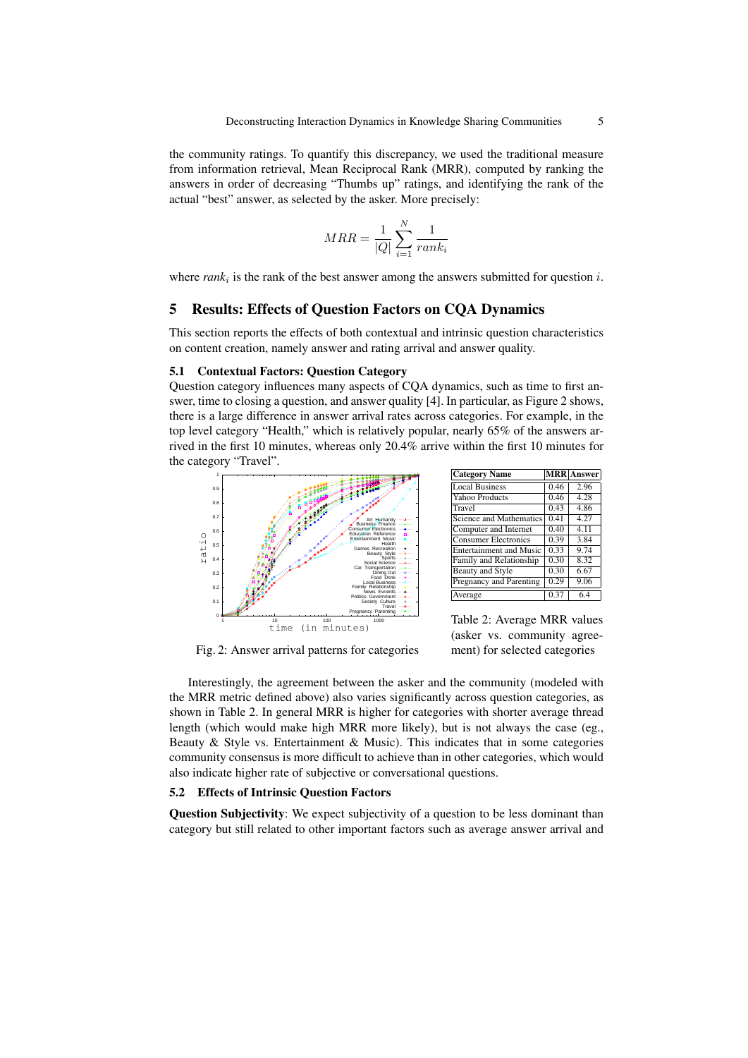the community ratings. To quantify this discrepancy, we used the traditional measure from information retrieval, Mean Reciprocal Rank (MRR), computed by ranking the answers in order of decreasing "Thumbs up" ratings, and identifying the rank of the actual "best" answer, as selected by the asker. More precisely:

$$
MRR = \frac{1}{|Q|} \sum_{i=1}^{N} \frac{1}{rank_i}
$$

where  $rank_i$  is the rank of the best answer among the answers submitted for question  $i$ .

# 5 Results: Effects of Question Factors on CQA Dynamics

This section reports the effects of both contextual and intrinsic question characteristics on content creation, namely answer and rating arrival and answer quality.

#### 5.1 Contextual Factors: Question Category

Question category influences many aspects of CQA dynamics, such as time to first answer, time to closing a question, and answer quality [4]. In particular, as Figure 2 shows, there is a large difference in answer arrival rates across categories. For example, in the top level category "Health," which is relatively popular, nearly 65% of the answers arrived in the first 10 minutes, whereas only 20.4% arrive within the first 10 minutes for the category "Travel".



| <b>Category Name</b>           |      | <b>MRR</b> Answer |
|--------------------------------|------|-------------------|
| <b>Local Business</b>          | 0.46 | 2.96              |
| Yahoo Products                 | 0.46 | 4.28              |
| Travel                         | 0.43 | 4.86              |
| Science and Mathematics        | 0.41 | 4.27              |
| Computer and Internet          | 0.40 | 4.11              |
| <b>Consumer Electronics</b>    | 0.39 | 3.84              |
| <b>Entertainment and Music</b> | 0.33 | 9.74              |
| Family and Relationship        | 0.30 | 8.32              |
| <b>Beauty and Style</b>        | 0.30 | 6.67              |
| Pregnancy and Parenting        | 0.29 | 9.06              |
| Average                        | 0.37 | 6.4               |
|                                |      |                   |

Fig. 2: Answer arrival patterns for categories

Table 2: Average MRR values (asker vs. community agreement) for selected categories

Interestingly, the agreement between the asker and the community (modeled with the MRR metric defined above) also varies significantly across question categories, as shown in Table 2. In general MRR is higher for categories with shorter average thread length (which would make high MRR more likely), but is not always the case (eg., Beauty & Style vs. Entertainment & Music). This indicates that in some categories community consensus is more difficult to achieve than in other categories, which would also indicate higher rate of subjective or conversational questions.

# 5.2 Effects of Intrinsic Question Factors

Question Subjectivity: We expect subjectivity of a question to be less dominant than category but still related to other important factors such as average answer arrival and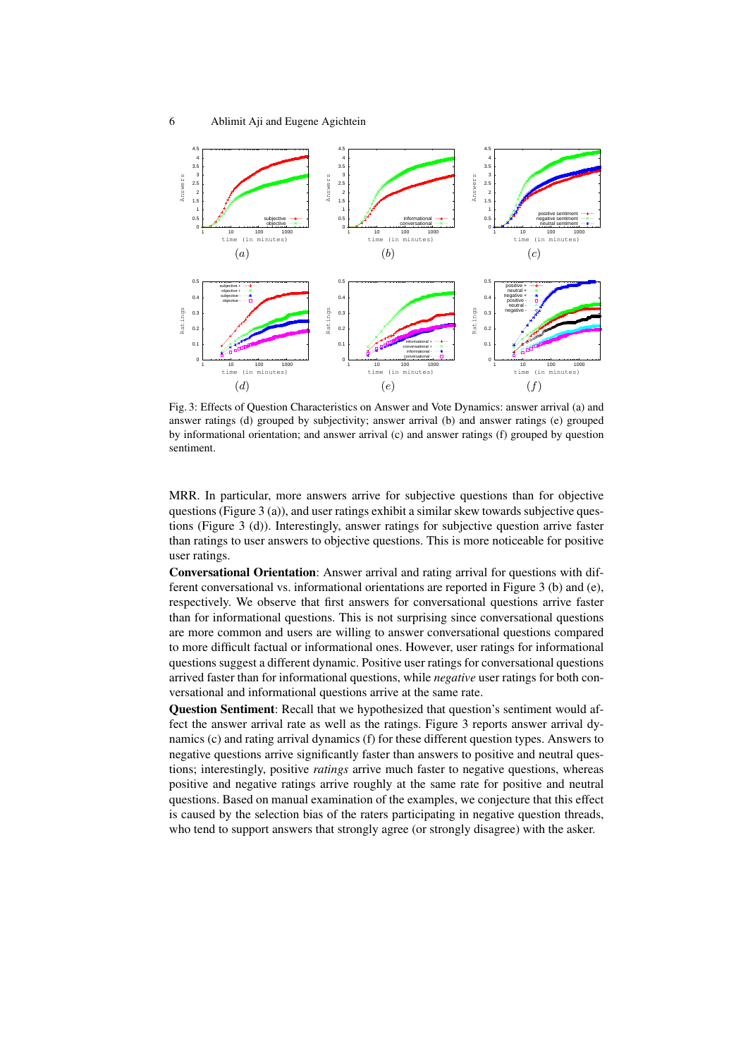

Fig. 3: Effects of Question Characteristics on Answer and Vote Dynamics: answer arrival (a) and answer ratings (d) grouped by subjectivity; answer arrival (b) and answer ratings (e) grouped by informational orientation; and answer arrival (c) and answer ratings (f) grouped by question sentiment.

MRR. In particular, more answers arrive for subjective questions than for objective questions (Figure 3 (a)), and user ratings exhibit a similar skew towards subjective questions (Figure 3 (d)). Interestingly, answer ratings for subjective question arrive faster than ratings to user answers to objective questions. This is more noticeable for positive user ratings.

Conversational Orientation: Answer arrival and rating arrival for questions with different conversational vs. informational orientations are reported in Figure 3 (b) and (e), respectively. We observe that first answers for conversational questions arrive faster than for informational questions. This is not surprising since conversational questions are more common and users are willing to answer conversational questions compared to more difficult factual or informational ones. However, user ratings for informational questions suggest a different dynamic. Positive user ratings for conversational questions arrived faster than for informational questions, while *negative* user ratings for both conversational and informational questions arrive at the same rate.

Question Sentiment: Recall that we hypothesized that question's sentiment would affect the answer arrival rate as well as the ratings. Figure 3 reports answer arrival dynamics (c) and rating arrival dynamics (f) for these different question types. Answers to negative questions arrive significantly faster than answers to positive and neutral questions; interestingly, positive *ratings* arrive much faster to negative questions, whereas positive and negative ratings arrive roughly at the same rate for positive and neutral questions. Based on manual examination of the examples, we conjecture that this effect is caused by the selection bias of the raters participating in negative question threads, who tend to support answers that strongly agree (or strongly disagree) with the asker.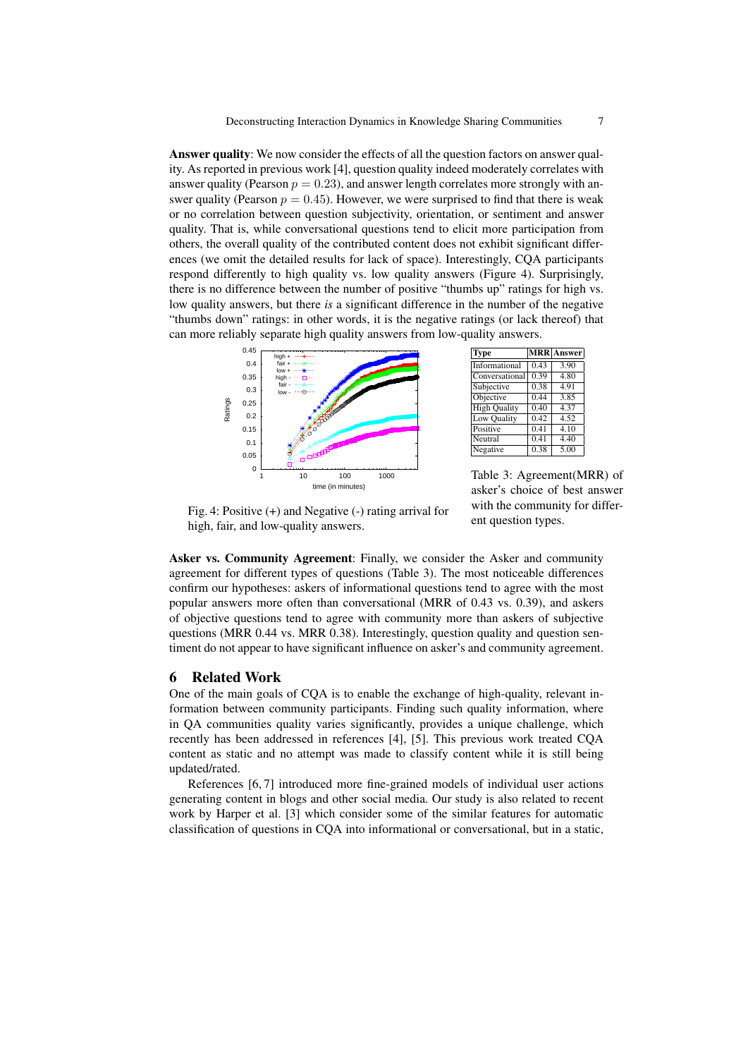Answer quality: We now consider the effects of all the question factors on answer quality. As reported in previous work [4], question quality indeed moderately correlates with answer quality (Pearson  $p = 0.23$ ), and answer length correlates more strongly with answer quality (Pearson  $p = 0.45$ ). However, we were surprised to find that there is weak or no correlation between question subjectivity, orientation, or sentiment and answer quality. That is, while conversational questions tend to elicit more participation from others, the overall quality of the contributed content does not exhibit significant differences (we omit the detailed results for lack of space). Interestingly, CQA participants respond differently to high quality vs. low quality answers (Figure 4). Surprisingly, there is no difference between the number of positive "thumbs up" ratings for high vs. low quality answers, but there *is* a significant difference in the number of the negative "thumbs down" ratings: in other words, it is the negative ratings (or lack thereof) that can more reliably separate high quality answers from low-quality answers.



| <b>Type</b>         |      | <b>MRR</b> Answer |
|---------------------|------|-------------------|
| Informational       | 0.43 | 3.90              |
| Conversational      | 0.39 | 4.80              |
| Subjective          | 0.38 | 4.91              |
| Objective           | 0.44 | 3.85              |
| <b>High Quality</b> | 0.40 | 4.37              |
| Low Quality         | 0.42 | 4.52              |
| Positive            | 0.41 | 4.10              |
| Neutral             | 0.41 | 4.40              |
| Negative            | 0.38 | 5.00              |

Fig. 4: Positive (+) and Negative (-) rating arrival for high, fair, and low-quality answers.

Table 3: Agreement(MRR) of asker's choice of best answer with the community for different question types.

Asker vs. Community Agreement: Finally, we consider the Asker and community agreement for different types of questions (Table 3). The most noticeable differences confirm our hypotheses: askers of informational questions tend to agree with the most popular answers more often than conversational (MRR of 0.43 vs. 0.39), and askers of objective questions tend to agree with community more than askers of subjective questions (MRR 0.44 vs. MRR 0.38). Interestingly, question quality and question sentiment do not appear to have significant influence on asker's and community agreement.

#### 6 Related Work

One of the main goals of CQA is to enable the exchange of high-quality, relevant information between community participants. Finding such quality information, where in QA communities quality varies significantly, provides a unique challenge, which recently has been addressed in references [4], [5]. This previous work treated CQA content as static and no attempt was made to classify content while it is still being updated/rated.

References [6, 7] introduced more fine-grained models of individual user actions generating content in blogs and other social media. Our study is also related to recent work by Harper et al. [3] which consider some of the similar features for automatic classification of questions in CQA into informational or conversational, but in a static,